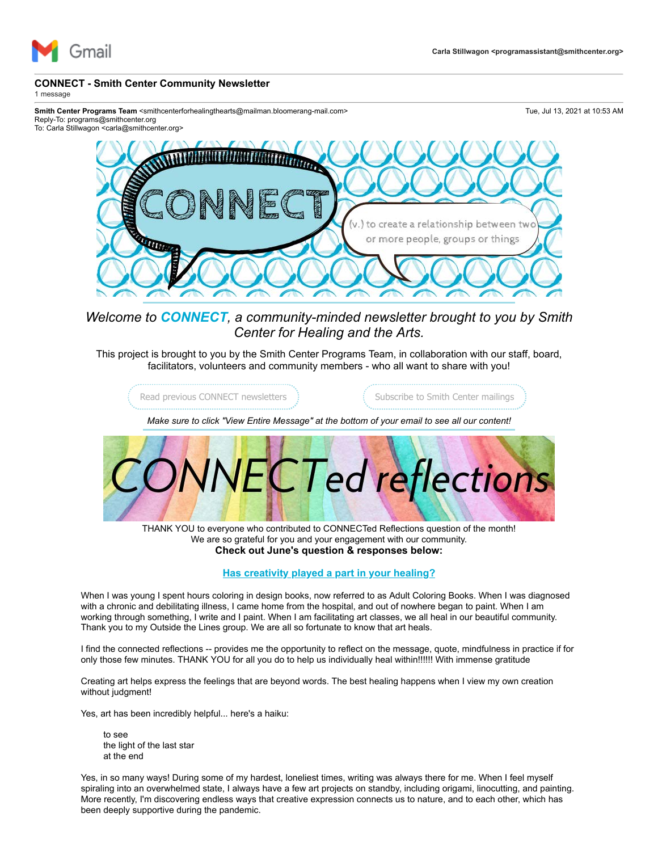

## **CONNECT - Smith Center Community Newsletter**

1 message

Smith Center Programs Team <smithcenterforhealingthearts@mailman.bloomerang-mail.com> Tue, Jul 13, 2021 at 10:53 AM Reply-To: programs@smithcenter.org

To: Carla Stillwagon <carla@smithcenter.org>



*Welcome to CONNECT, a community-minded newsletter brought to you by Smith Center for Healing and the Arts.*

This project is brought to you by the Smith Center Programs Team, in collaboration with our staff, board, facilitators, volunteers and community members - who all want to share with you!

[Read previous CONNECT newsletters](https://u4479449.ct.sendgrid.net/ls/click?upn=3sgrXn5Ev5tKVcoBK0A6CgAHr74k0xcNCOw-2B-2F3C0qbewFS0ajpjAOaN7owSigZ9x9ahsqWCfDDW51po-2BGO6CewXPWgltBvFZRMauc-2BGWmd4-3Dw0W4_5WEKUCHOOKEmpAePquxKW8mz8KxSlNJE8q6LGByFHASLHkY3PAVnX0uan0usBqR4ZgOg70CAYmaHqAqs2ECz4MumhDSU6e2ReAjaDnJuqUHldRl5mHPEZeH8qDbsz4upOVhRTCNwmJdk0qm0AHNnBguz9SC8jjNY6obgMh4owxlhzSZqhDwPJdYrNCZI3dv0naBj9rRUXsdj-2Fo38faard3-2FC8ldR3WnyvjlL-2FDOIhjHH-2BpsvXaJ1jjZo8w80K4m5O0EWMMM5L-2FeTbk5xsmY9-2FT1HATXucjvnRsI8l9Cj9moAkvWWvn8Vc7K9Ty5pIyGHu6-2BfasMugqkrvSEi7bRATLvRayeSEHMwrjH5XQomBMF8BRoKvbEJo4rmxuBhlb-2FeQq-2BWcaBCSyZ8W8sEwHomcg-3D-3D)  $\qquad \qquad$  [Subscribe to Smith Center mailings](https://u4479449.ct.sendgrid.net/ls/click?upn=3sgrXn5Ev5tKVcoBK0A6CgAHr74k0xcNCOw-2B-2F3C0qbfcQx4bylRXZQSioJxky6zDpZoICpHTcCyEsfIVM0wCmv4Pk8kV396WPLzQJ5CafmHdDRakF-2FPMzQW0kby5UKBgbm_f_5WEKUCHOOKEmpAePquxKW8mz8KxSlNJE8q6LGByFHASLHkY3PAVnX0uan0usBqR4ZgOg70CAYmaHqAqs2ECz4MumhDSU6e2ReAjaDnJuqUHldRl5mHPEZeH8qDbsz4upOVhRTCNwmJdk0qm0AHNnBguz9SC8jjNY6obgMh4owxlhzSZqhDwPJdYrNCZI3dv0naBj9rRUXsdj-2Fo38faard3-2FC8ldR3WnyvjlL-2FDOIhjHH-2BpsvXaJ1jjZo8w80K4m5i1607-2FgjfoWieFSHejhWlxL8-2BlHZbkw2t5Wn5pFf4YEn5bGE-2FOzTtrqUR1i-2FPchGpNAlkAco4cCySQmSk6Al8320Yh8ApiUlO-2FdBOi8DfNIBVMvmVy7G5prhorVg4QQP2af3E-2BMBdTdZ9zbYoYbzqA-3D-3D)

*Make sure to click "View Entire Message" at the bottom of your email to see all our content!*



THANK YOU to everyone who contributed to CONNECTed Reflections question of the month! We are so grateful for you and your engagement with our community. **Check out June's question & responses below:**

## **Has creativity played a part in your healing?**

When I was young I spent hours coloring in design books, now referred to as Adult Coloring Books. When I was diagnosed with a chronic and debilitating illness, I came home from the hospital, and out of nowhere began to paint. When I am working through something, I write and I paint. When I am facilitating art classes, we all heal in our beautiful community. Thank you to my Outside the Lines group. We are all so fortunate to know that art heals.

I find the connected reflections -- provides me the opportunity to reflect on the message, quote, mindfulness in practice if for only those few minutes. THANK YOU for all you do to help us individually heal within!!!!!! With immense gratitude

Creating art helps express the feelings that are beyond words. The best healing happens when I view my own creation without judgment!

Yes, art has been incredibly helpful... here's a haiku:

to see the light of the last star at the end

Yes, in so many ways! During some of my hardest, loneliest times, writing was always there for me. When I feel myself spiraling into an overwhelmed state, I always have a few art projects on standby, including origami, linocutting, and painting. More recently, I'm discovering endless ways that creative expression connects us to nature, and to each other, which has been deeply supportive during the pandemic.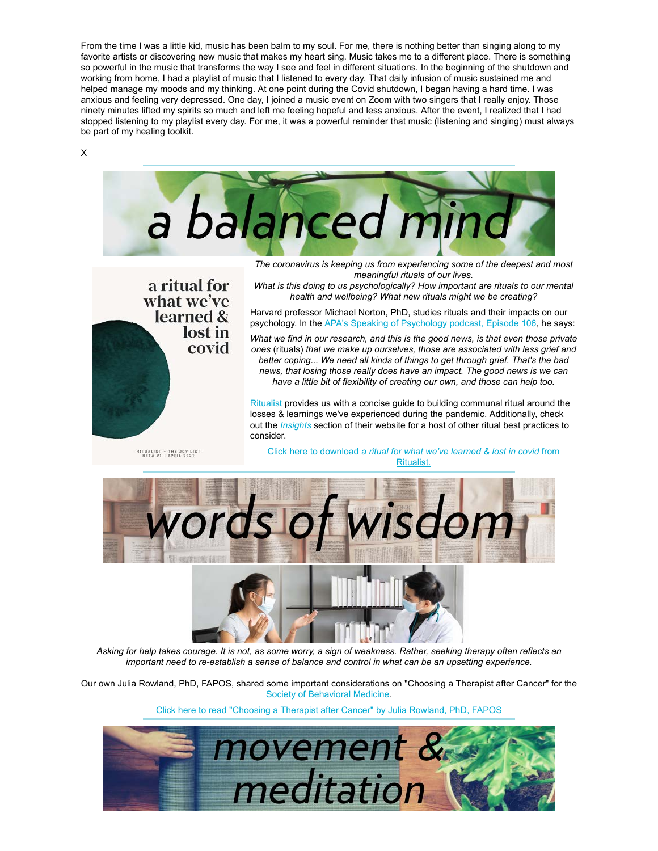From the time I was a little kid, music has been balm to my soul. For me, there is nothing better than singing along to my favorite artists or discovering new music that makes my heart sing. Music takes me to a different place. There is something so powerful in the music that transforms the way I see and feel in different situations. In the beginning of the shutdown and working from home, I had a playlist of music that I listened to every day. That daily infusion of music sustained me and helped manage my moods and my thinking. At one point during the Covid shutdown, I began having a hard time. I was anxious and feeling very depressed. One day, I joined a music event on Zoom with two singers that I really enjoy. Those ninety minutes lifted my spirits so much and left me feeling hopeful and less anxious. After the event, I realized that I had stopped listening to my playlist every day. For me, it was a powerful reminder that music (listening and singing) must always be part of my healing toolkit.

X



[Click here to read "Choosing a Therapist after Cancer" by Julia Rowland, PhD, FAPOS](https://u4479449.ct.sendgrid.net/ls/click?upn=3sgrXn5Ev5tKVcoBK0A6CvsJl45xQWKDBXqAzxS61kpxcLpviL3x4-2BKiWt704IyElDmC9VTXQm9R-2F1CM9S53I-2BiTgNRcOQN-2BA9BimxI-2BW3CDJQPT7c5QmPxNW09johwS6S72_5WEKUCHOOKEmpAePquxKW8mz8KxSlNJE8q6LGByFHASLHkY3PAVnX0uan0usBqR4ZgOg70CAYmaHqAqs2ECz4MumhDSU6e2ReAjaDnJuqUHldRl5mHPEZeH8qDbsz4upOVhRTCNwmJdk0qm0AHNnBguz9SC8jjNY6obgMh4owxlhzSZqhDwPJdYrNCZI3dv0naBj9rRUXsdj-2Fo38faard3-2FC8ldR3WnyvjlL-2FDOIhjHH-2BpsvXaJ1jjZo8w80K4m5XMsa0jOErEE5kHecHliwGBZ7Dideq5mOAnicIwnHa68iRTMAyB5o32VMnHt-2Bs7H5B472O-2FZ06Y6OmUE35eK4g3x6OPMNAxy4hkcrWGkMiUyDfo5sQLii1fm82OQ4pH9FdYnGeqnRl1pc4v7FiQzHGA-3D-3D)

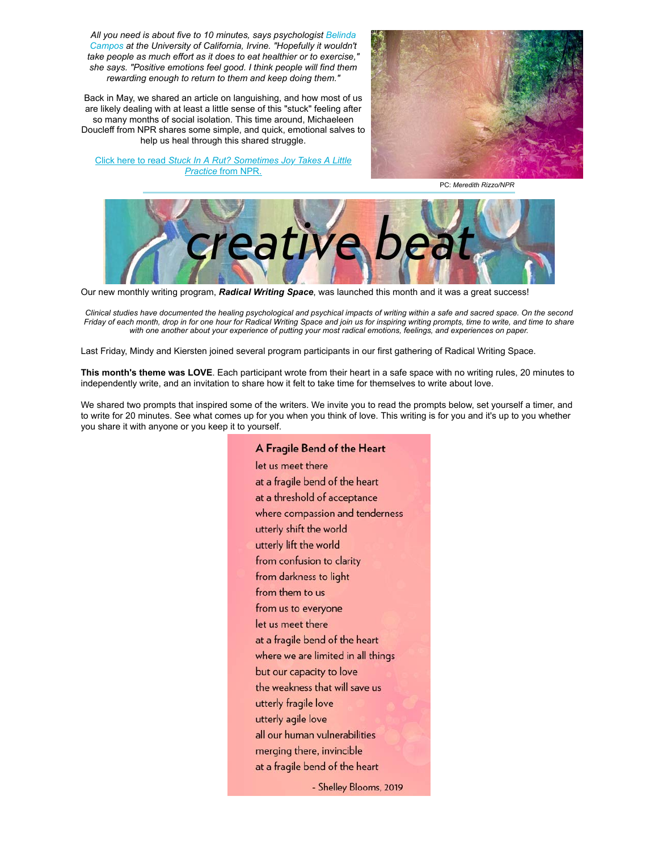*[All you need is about five to 10 minutes, says psychologist](https://u4479449.ct.sendgrid.net/ls/click?upn=3sgrXn5Ev5tKVcoBK0A6CsaSCMUWu5e1RQTuyHs29FrWb16rUbEiceFZH2Ibm9pZxrB2D89XpgC4TlLx6LVRBQ-3D-3D1I8n_5WEKUCHOOKEmpAePquxKW8mz8KxSlNJE8q6LGByFHASLHkY3PAVnX0uan0usBqR4ZgOg70CAYmaHqAqs2ECz4MumhDSU6e2ReAjaDnJuqUHldRl5mHPEZeH8qDbsz4upOVhRTCNwmJdk0qm0AHNnBguz9SC8jjNY6obgMh4owxlhzSZqhDwPJdYrNCZI3dv0naBj9rRUXsdj-2Fo38faard3-2FC8ldR3WnyvjlL-2FDOIhjHH-2BpsvXaJ1jjZo8w80K4m5C2Pdd2i8RBQywJqwygMoqWON1ba2VdCPT-2FnGiAxkuOWjWjvQ02hVBqQ0lUpdkXZKPI595LTwslyM3pfWP7KkyrraJXREYZuW2-2F3LBFvZ-2FgKjW7pzCIn5zluJ2-2BYjS6I-2BLalpV7hmNbp546TyMH5w9A-3D-3D) Belinda Campos at the University of California, Irvine. "Hopefully it wouldn't take people as much effort as it does to eat healthier or to exercise," she says. "Positive emotions feel good. I think people will find them rewarding enough to return to them and keep doing them."*

Back in May, we shared an article on languishing, and how most of us are likely dealing with at least a little sense of this "stuck" feeling after so many months of social isolation. This time around, Michaeleen Doucleff from NPR shares some simple, and quick, emotional salves to help us heal through this shared struggle.

Click here to read *[Stuck In A Rut? Sometimes Joy Takes A Little](https://u4479449.ct.sendgrid.net/ls/click?upn=3sgrXn5Ev5tKVcoBK0A6CtMeTYdYEznOCF6zxtzTfZlbzFJSbCTMFOVdcYKOCIH781xcvPlaf4yeTd2FpcUjc3FP9fHKosgq6wTCx1XJdM6-2FJcymjE91506W151SrNP10COzS-2BA7Sdb71pXRD74vsQb3mf9xYa-2BmLTKAssGJrHuJEd7gIo6fgXBhIyHLZ72un23z_5WEKUCHOOKEmpAePquxKW8mz8KxSlNJE8q6LGByFHASLHkY3PAVnX0uan0usBqR4ZgOg70CAYmaHqAqs2ECz4MumhDSU6e2ReAjaDnJuqUHldRl5mHPEZeH8qDbsz4upOVhRTCNwmJdk0qm0AHNnBguz9SC8jjNY6obgMh4owxlhzSZqhDwPJdYrNCZI3dv0naBj9rRUXsdj-2Fo38faard3-2FC8ldR3WnyvjlL-2FDOIhjHH-2BpsvXaJ1jjZo8w80K4m5Tz2wITCxYnsskg-2FaapkXkFD4Bd7HfAI452mexyxZ-2F2qJmCV3YWlczyltAw5fAtxVeHRUqKMvg1HoO-2FHUfuV7di2Qe8jCtxE-2Fyw9FMGVsEjOFW6wuNAhokhPogqBuahyP7Fw5kFyS9dL9rA7ZS1INnA-3D-3D) Practice* from NPR.



PC: *Meredith Rizzo/NPR*



Our new monthly writing program, *Radical Writing Space*, was launched this month and it was a great success!

*Clinical studies have documented the healing psychological and psychical impacts of writing within a safe and sacred space. On the second Friday of each month, drop in for one hour for Radical Writing Space and join us for inspiring writing prompts, time to write, and time to share with one another about your experience of putting your most radical emotions, feelings, and experiences on paper.*

Last Friday, Mindy and Kiersten joined several program participants in our first gathering of Radical Writing Space.

**This month's theme was LOVE**. Each participant wrote from their heart in a safe space with no writing rules, 20 minutes to independently write, and an invitation to share how it felt to take time for themselves to write about love.

We shared two prompts that inspired some of the writers. We invite you to read the prompts below, set yourself a timer, and to write for 20 minutes. See what comes up for you when you think of love. This writing is for you and it's up to you whether you share it with anyone or you keep it to yourself.

> A Fragile Bend of the Heart let us meet there at a fragile bend of the heart at a threshold of acceptance where compassion and tenderness utterly shift the world utterly lift the world from confusion to clarity from darkness to light from them to us from us to everyone let us meet there at a fragile bend of the heart where we are limited in all things but our capacity to love the weakness that will save us utterly fragile love utterly agile love all our human vulnerabilities merging there, invincible at a fragile bend of the heart - Shelley Blooms, 2019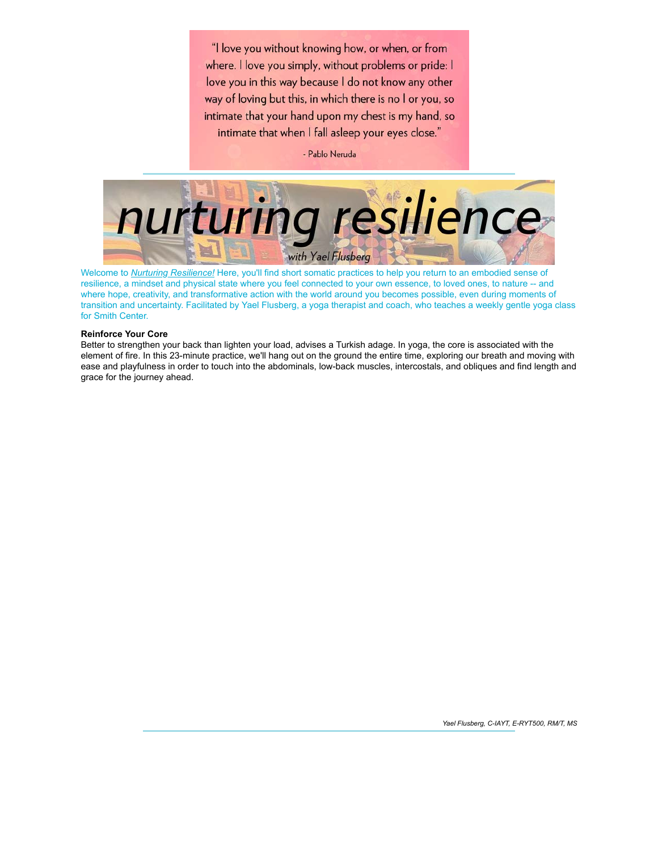"I love you without knowing how, or when, or from where. I love you simply, without problems or pride: I love you in this way because I do not know any other way of loving but this, in which there is no I or you, so intimate that your hand upon my chest is my hand, so intimate that when I fall asleep your eyes close."

- Pablo Neruda



Welcome to *[Nurturing Resilience!](https://u4479449.ct.sendgrid.net/ls/click?upn=3sgrXn5Ev5tKVcoBK0A6Cpe-2BSlO1vPLgoqB6W1XeqY06zOXUsp420f-2BgYcp9T1mgCA5wH0h7r9vxRHIa3T7CKev7lTXlvPbykXAv8FP20pz0Wp-2FuxI2nf0CRf3HTSVlKFt8gaBcQPLJvZg7pHg1vsg-3D-3DDHkY_5WEKUCHOOKEmpAePquxKW8mz8KxSlNJE8q6LGByFHASLHkY3PAVnX0uan0usBqR4ZgOg70CAYmaHqAqs2ECz4MumhDSU6e2ReAjaDnJuqUHldRl5mHPEZeH8qDbsz4upOVhRTCNwmJdk0qm0AHNnBguz9SC8jjNY6obgMh4owxlhzSZqhDwPJdYrNCZI3dv0naBj9rRUXsdj-2Fo38faard3-2FC8ldR3WnyvjlL-2FDOIhjHH-2BpsvXaJ1jjZo8w80K4m5swvfZURej1xM73TaZXmukkMAA1dRTpI7rfC6E2A5q5uCDSrO7UU0y31tnbUqXVrdMmD24UMy-2BF13w0UztJVtgrDtXvH9-2BNPMUoC-2BSLi9ZiUR1VUFiM-2BtGLOvE3vgTDZonFN6OZXz1jst76n45zBgww-3D-3D)* Here, you'll find short somatic practices to help you return to an embodied sense of resilience, a mindset and physical state where you feel connected to your own essence, to loved ones, to nature -- and where hope, creativity, and transformative action with the world around you becomes possible, even during moments of transition and uncertainty. Facilitated by Yael Flusberg, a yoga therapist and coach, who teaches a weekly gentle yoga class for Smith Center.

## **Reinforce Your Core**

Better to strengthen your back than lighten your load, advises a Turkish adage. In yoga, the core is associated with the element of fire. In this 23-minute practice, we'll hang out on the ground the entire time, exploring our breath and moving with ease and playfulness in order to touch into the abdominals, low-back muscles, intercostals, and obliques and find length and grace for the journey ahead.

*Yael Flusberg, C-IAYT, E-RYT500, RM/T, MS*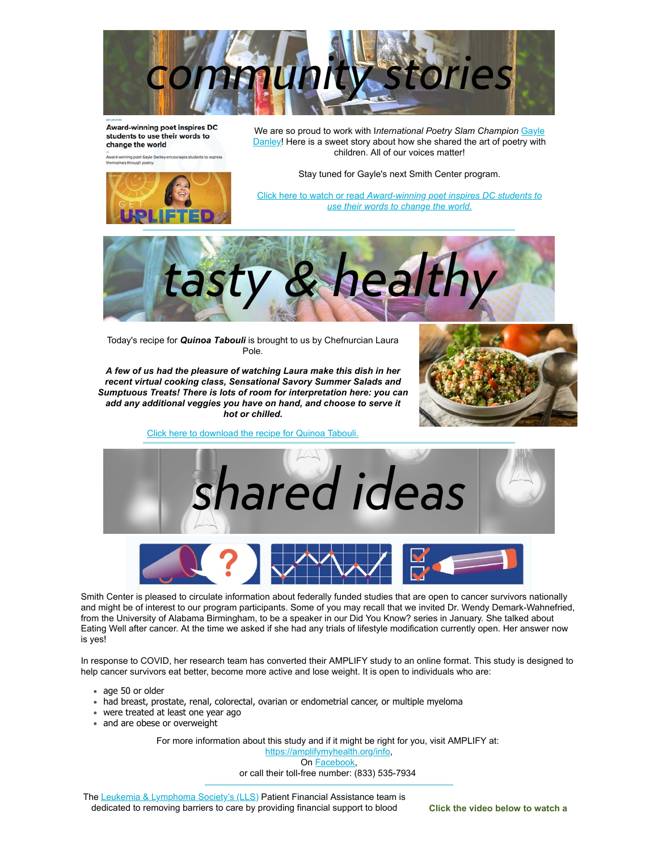

Award-winning poet inspires DC students to use their words to change the world

winning poet Gayle Da<br>Ives through poetry.



We are so proud to work with I*nternational Poetry Slam Champion* Gayle [Danley! Here is a sweet story about how she shared the art of poetry with](https://u4479449.ct.sendgrid.net/ls/click?upn=hakwPvqxtFzVqTq8H64OvS39dojESnlbs8hTm-2Bu-2BgeguQyd9Ze7RCxrEVgkybdyZO-2Brp5A5dhvGUD-2BTiMTNdQA-3D-3DKazm_5WEKUCHOOKEmpAePquxKW8mz8KxSlNJE8q6LGByFHASLHkY3PAVnX0uan0usBqR4ZgOg70CAYmaHqAqs2ECz4MumhDSU6e2ReAjaDnJuqUHldRl5mHPEZeH8qDbsz4upOVhRTCNwmJdk0qm0AHNnBguz9SC8jjNY6obgMh4owxlhzSZqhDwPJdYrNCZI3dv0naBj9rRUXsdj-2Fo38faard3-2FC8ldR3WnyvjlL-2FDOIhjHH-2BpsvXaJ1jjZo8w80K4m5WxhoCJ98iYN6Pj8jf1CM-2FxFLrDHJWn5nGgVzOHmZs2yd4Xx8upDH0VOS7oMVygefJ1MweXV56mEulzIuzid7fivtoSyYc3JuqV0QC3o4kU1S29krMufgdlDimvH4rs01I-2FKuE7xKyADSP3reHVYuvQ-3D-3D) children. All of our voices matter!

Stay tuned for Gayle's next Smith Center program.

Click here to watch or read *[Award-winning poet inspires DC students to](https://u4479449.ct.sendgrid.net/ls/click?upn=3sgrXn5Ev5tKVcoBK0A6CpTV7oCytN39F9d5RzFx6XjcZHlgkGBxTfebT0SgSExzME93kNeEpyT9b-2Fw8JRmiNAVsQymfTRKDOPnUD-2FEjeFId4h-2BHNNQEhGnEMtSb3wurgL5kGFVE0HVEabCFpRZynyMEBkYBoHVFLc0qvt-2BflTmOaFVjp3PsJJ4S6Kp7DKwrEtB7IgsWXoE94URhpDGUFA3uxidpeZeW-2BLgcKcCbtfvBmGZMM-2FovTNM4j2wxQBc2nGtl_5WEKUCHOOKEmpAePquxKW8mz8KxSlNJE8q6LGByFHASLHkY3PAVnX0uan0usBqR4ZgOg70CAYmaHqAqs2ECz4MumhDSU6e2ReAjaDnJuqUHldRl5mHPEZeH8qDbsz4upOVhRTCNwmJdk0qm0AHNnBguz9SC8jjNY6obgMh4owxlhzSZqhDwPJdYrNCZI3dv0naBj9rRUXsdj-2Fo38faard3-2FC8ldR3WnyvjlL-2FDOIhjHH-2BpsvXaJ1jjZo8w80K4m5WIMBYyaLEC1YAjrFxQ2LiRPffiZrn8nXIfUG64A-2BE9duLH7dIWUy-2FaHjuAGtXx5-2FPKG-2F9ZisWHI0CKF3nqM2mNOiLajPchawmGS-2BHkFRYsP8iSamgnKpkyYb19hrYtJa28fF1A4GMi122BWtqYMlYg-3D-3D) use their words to change the world*.



Today's recipe for *Quinoa Tabouli* is brought to us by Chefnurcian Laura Pole.

*A few of us had the pleasure of watching Laura make this dish in her recent virtual cooking class, Sensational Savory Summer Salads and Sumptuous Treats! There is lots of room for interpretation here: you can add any additional veggies you have on hand, and choose to serve it hot or chilled.*



[Click here to download the recipe for Quinoa Tabouli.](https://u4479449.ct.sendgrid.net/ls/click?upn=3sgrXn5Ev5tKVcoBK0A6CgAHr74k0xcNCOw-2B-2F3C0qbclpov4UALDxxb0fS7hpvv2jA2HXsjQ1nJdWco5mSHZ4dkHlxBo4XJSggkaBPbSPT3vIN-2FS7XASlWtinKBPqfXwMrmn_5WEKUCHOOKEmpAePquxKW8mz8KxSlNJE8q6LGByFHASLHkY3PAVnX0uan0usBqR4ZgOg70CAYmaHqAqs2ECz4MumhDSU6e2ReAjaDnJuqUHldRl5mHPEZeH8qDbsz4upOVhRTCNwmJdk0qm0AHNnBguz9SC8jjNY6obgMh4owxlhzSZqhDwPJdYrNCZI3dv0naBj9rRUXsdj-2Fo38faard3-2FC8ldR3WnyvjlL-2FDOIhjHH-2BpsvXaJ1jjZo8w80K4m5W1t8IHp90xMnpvpL72B6JhoGwfV6RM9G6VAe8KAx7whhxFVNSDRpiLr4ZebpStD91oykxR3sLbw7rkr1qPtI8SP5I4hzV2g1cmkcgP71P100vVQnzqNyzZ9dBcb-2Fp-2FLksokOVQ3hfXV77E4yaZApHQ-3D-3D)



Smith Center is pleased to circulate information about federally funded studies that are open to cancer survivors nationally and might be of interest to our program participants. Some of you may recall that we invited Dr. Wendy Demark-Wahnefried, from the University of Alabama Birmingham, to be a speaker in our Did You Know? series in January. She talked about Eating Well after cancer. At the time we asked if she had any trials of lifestyle modification currently open. Her answer now is yes!

In response to COVID, her research team has converted their AMPLIFY study to an online format. This study is designed to help cancer survivors eat better, become more active and lose weight. It is open to individuals who are:

- age 50 or older
- had breast, prostate, renal, colorectal, ovarian or endometrial cancer, or multiple myeloma
- were treated at least one year ago
- and are obese or overweight

For more information about this study and if it might be right for you, visit AMPLIFY at:

[https://amplifymyhealth.org/info](https://u4479449.ct.sendgrid.net/ls/click?upn=3sgrXn5Ev5tKVcoBK0A6Cl8IA-2FJ8n3UT3ZC-2FENxhDnmo7lHS0OW7hrsRwXpMYqaY6lclldZhhDolXgwUQWIVag-3D-3DvRBi_5WEKUCHOOKEmpAePquxKW8mz8KxSlNJE8q6LGByFHASLHkY3PAVnX0uan0usBqR4ZgOg70CAYmaHqAqs2ECz4MumhDSU6e2ReAjaDnJuqUHldRl5mHPEZeH8qDbsz4upOVhRTCNwmJdk0qm0AHNnBguz9SC8jjNY6obgMh4owxlhzSZqhDwPJdYrNCZI3dv0naBj9rRUXsdj-2Fo38faard3-2FC8ldR3WnyvjlL-2FDOIhjHH-2BpsvXaJ1jjZo8w80K4m5j8Vm3SrOdI1JN53rjd-2F8D0cnz82StuwevXaHoELqXjoFBM2BZOfLI7-2FvNxM6Ft1SNEl0xq0EXergiR-2FhTSFqu8SpzkLa6KyHEthZyUuWm2udV0AW4eOTfwGvTXHQWdpoOVoUNX2hRasVb8R0lNKcvg-3D-3D), On [Facebook](https://u4479449.ct.sendgrid.net/ls/click?upn=3sgrXn5Ev5tKVcoBK0A6CrX4SXgj-2F4Zj0GY2O274HouhhC1aREJfXpWk72ZpC0IUrqdHzehzIeSkYGRvnG8WxzdJkcB1RR45fh0vkEQOKUw-3DhZJn_5WEKUCHOOKEmpAePquxKW8mz8KxSlNJE8q6LGByFHASLHkY3PAVnX0uan0usBqR4ZgOg70CAYmaHqAqs2ECz4MumhDSU6e2ReAjaDnJuqUHldRl5mHPEZeH8qDbsz4upOVhRTCNwmJdk0qm0AHNnBguz9SC8jjNY6obgMh4owxlhzSZqhDwPJdYrNCZI3dv0naBj9rRUXsdj-2Fo38faard3-2FC8ldR3WnyvjlL-2FDOIhjHH-2BpsvXaJ1jjZo8w80K4m5gWm853wj9QBnEmN1PZX4HZZGVhmBBTZMkcvSJ9jlZ4BsAVR2zhbifyz6yAqkdqDX-2F3PF9jAkXYNEHkyPucoese3vKDoVme-2F5qhInCO57RDmu5kcWakeAfMeiUD5NSaHjMHgzJuSj7EP4-2By7wKLMndA-3D-3D),

or call their toll-free number: (833) 535-7934

The [Leukemia & Lymphoma Society's \(LLS\)](https://u4479449.ct.sendgrid.net/ls/click?upn=3sgrXn5Ev5tKVcoBK0A6CoEN2SBQplFliqON6DN0HgWy0Mj8WHYzk1f5NYyX-2BlTI4WOB_5WEKUCHOOKEmpAePquxKW8mz8KxSlNJE8q6LGByFHASLHkY3PAVnX0uan0usBqR4ZgOg70CAYmaHqAqs2ECz4MumhDSU6e2ReAjaDnJuqUHldRl5mHPEZeH8qDbsz4upOVhRTCNwmJdk0qm0AHNnBguz9SC8jjNY6obgMh4owxlhzSZqhDwPJdYrNCZI3dv0naBj9rRUXsdj-2Fo38faard3-2FC8ldR3WnyvjlL-2FDOIhjHH-2BpsvXaJ1jjZo8w80K4m5RLix1kJrW0iUQIC2TkLERivsLqmDYAmmTpSqD6JIw4-2BtNjd26Sti9Q53pdntK48-2BE04BZnWR-2BaFfHigWx9vlKv7uB-2FvpfCEvwO7HQW4NEaPhQnzv3zO1gZsFRcQ4KuhP0n9uKwP-2BAsAguYjawZWolQ-3D-3D) Patient Financial Assistance team is dedicated to removing barriers to care by providing financial support to blood **Click the video below to watch a**